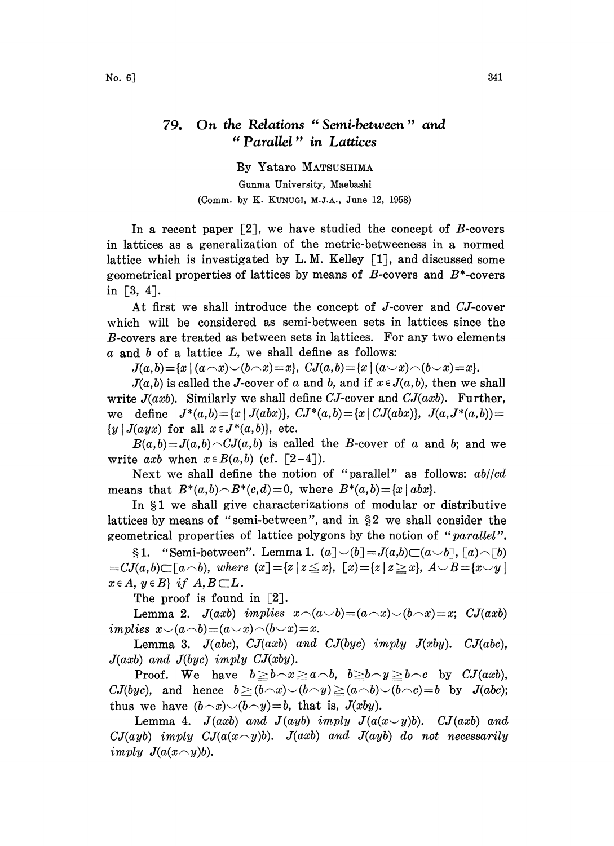## On the Relations "Semi-between" and 79. "Parallel" in Lattices

By Yataro MATSUSHIMA

Gunma University, Maebashi (Comm. by K. KUNUGI, M.J.A., June 12, 1958)

In a recent paper  $\lceil 2 \rceil$ , we have studied the concept of B-covers in lattices as a generalization of the metric-betweeness in a normed lattice which is investigated by L.M. Kelley  $[1]$ , and discussed some geometrical properties of lattices by means of  $B$ -covers and  $B^*$ -covers in  $[3, 4]$ .

At first we shall introduce the concept of J-cover and CJ-cover which will be considered as semi-between sets in lattices since the B-covers are treated as between sets in lattices. For any two elements  $\alpha$  and  $\delta$  of a lattice  $L$ , we shall define as follows:

 $J(a,b) = \{x \mid (a \cap x) \cup (b \cap x) = x\}, CJ(a,b) = \{x \mid (a \cup x) \cap (b \cup x) = x\}.$ 

 $J(a,b)$  is called the J-cover of a and b, and if  $x \in J(a,b)$ , then we shall write  $J(axb)$ . Similarly we shall define CJ-cover and C $J(axb)$ . Further, we define  $J^*(a,b) = \{x \mid J(abx)\},\; CJ^*(a,b) = \{x \mid CJ(abx)\},\; J(a,J^*(a,b)) =$  ${y | J(ayx) \text{ for all } x \in J^*(a, b)}, \text{ etc.}$ 

 $B(a,b)=J(a,b)\frown CJ(a,b)$  is called the B-cover of a and b; and we write axb when  $x \in B(a,b)$  (cf. [2-4]).

Next we shall define the notion of "parallel" as follows:  $ab/cd$ means that  $B^*(a,b) \cap B^*(c,d) = 0$ , where  $B^*(a,b) = \{x \mid abx\}.$ 

In \$1 we shall give characterizations of modular or distributive lattices by means of "semi-between", and in §2 we shall consider the geometrical properties of lattice polygons by the notion of "parallel".

§1. "Semi-between". Lemma 1.  $(a] \cup (b] = J(a,b) \subset (a \cup b]$ ,  $\lceil a \rceil \sim \lceil b \rceil$  $=CJ(a,b)\subset [a\wedge b),$  where  $(x)=[z|z\leq x], [x)=[z|z\geq x], A\vee B=[x\vee y]$  $x \in A$ ,  $y \in B$  if  $A, B \subset L$ .

The proof is found in  $[2]$ .

Lemma 2.  $J(axb)$  implies  $x\widehat{\phantom{\alpha}}(a\widehat{\phantom{\alpha}} b) = (a\widehat{\phantom{\alpha}} x)\widehat{\phantom{\alpha}}(b\widehat{\phantom{\alpha}} x) = x$ ; C $J(axb)$ implies  $x\smile(a\smile b)=(a\smile x)\smile(b\smile x)=x.$ 

Lemma 3.  $J(abc)$ ,  $CJ(axb)$  and  $CJ(byc)$  imply  $J(xby)$ .  $CJ(abc)$ ,  $J(axb)$  and  $J(byc)$  imply  $CJ(xby)$ .

Proof. We have  $b \ge b \wedge x \ge a \wedge b$ ,  $b \ge b \wedge y \ge b \wedge c$  by  $CJ(axb)$ ,  $CJ(byc)$ , and hence  $b \ge (b \wedge x) \vee (b \wedge y) \ge (a \wedge b) \vee (b \wedge c)=b$  by  $J(abc);$ thus we have  $(b \neg x) \neg (b \neg y)=b$ , that is,  $J(xby)$ .

Lemma 4.  $J(axb)$  and  $J(ayb)$  imply  $J(a(x \vee y)b)$ .  $CJ(axb)$  and  $CJ(ayb)$  imply  $CJ(a(x \sim y)b)$ .  $J(axb)$  and  $J(ayb)$  do not necessarily imply  $J(a(x \frown y)b)$ .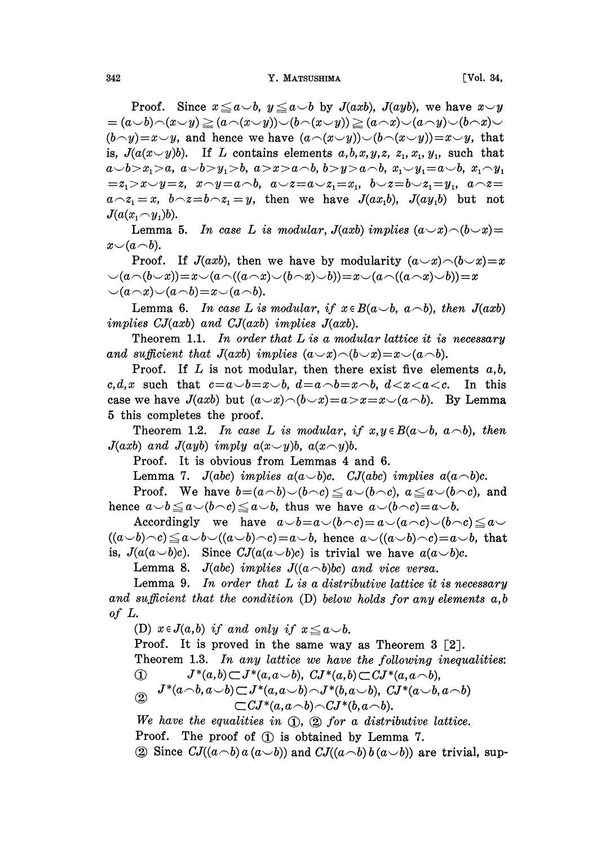Proof. Since  $x \le a \smile b$ ,  $y \le a \smile b$  by  $J(axb)$ ,  $J(ayb)$ , we have  $x \smile y$  $(a\cup b)\cap(x\cup y)\geq (a\cap(x\cup y))\cup (b\cap(x\cup y))\geq (a\cap x)\cup(a\cap y)\cup(b\cap x)\cup$  $(b\hspace{-.05in}\sim\hspace{-.05in}y)=x\hspace{-.05in}\sim\hspace{-.05in}y,$  and hence we have  $(a\hspace{-.05in}\sim\hspace{-.05in}(x\hspace{-.05in}\sim\hspace{-.05in}y))\hspace{-.05in}\sim(b\hspace{-.05in}\sim\hspace{-.05in}(x\hspace{-.05in}\sim\hspace{-.05in}y))\hspace{-.05in}=\hspace{-.05in}x\hspace{-.05in}\sim\hspace{-.05in}y,$  that is,  $J(a(x \smile y)b)$ . If L contains elements  $a, b, x, y, z, z_1, x_1, y_1$ , such that  $a \cup b > x_1 > a, a \cup b > y_1 > b, a > x > a \cap b, b > y > a \cap b, x_1 \cup y_1 = a \cup b, x_1 \cap y_1$  $z_1 > x \vee y = z$ ,  $x \wedge y = a \wedge b$ ,  $a \vee z = a \vee z_1 = x_1$ ,  $b \vee z = b \vee z_1 = y_1$ ,  $a \wedge z = z_1$  $a \sim z_1 = x$ ,  $b \sim z = b \sim z_1 = y$ , then we have  $J(ax_1b)$ ,  $J(ay_1b)$  but not  $J(a(x_1 \frown y_1)b)$ .

Lemma 5. In case L is modular,  $J(axb)$  implies  $(a \rightarrow x) \land (b \rightarrow x) =$  $x \smile (a \neg b).$ 

Proof. If  $J(axb)$ , then we have by modularity  $(a \neg x) \neg (b \neg x) = x$  $(a \wedge (b \vee x))=x \vee (a \wedge ((a \wedge x) \vee (b \wedge x) \vee b))=x \vee (a \wedge ((a \wedge x) \vee b))=x$  $\cup$ (a $\cap$ x) $\cup$ (a $\cap$ b)=x $\cup$ (a $\cap$ b).

Lemma 6. In case L is modular, if  $x \in B(a \cup b, a \cap b)$ , then  $J(axb)$ implies  $CJ(axb)$  and  $CJ(axb)$  implies  $J(axb)$ .

Theorem 1.1. In order that  $L$  is a modular lattice it is necessary and sufficient that  $J(axb)$  implies  $(a \neg x) \neg (b \neg x) = x \neg (a \neg b)$ .

Proof. If L is not modular, then there exist five elements  $a, b$ , c,d,x such that  $c=a\smile b=x\smile b$ ,  $d=a\smile b=x\smile b$ ,  $d. In this$ case we have  $J(axb)$  but  $(a \neg x) \neg (b \neg x) = a > x = x \neg (a \neg b)$ . By Lemma 5 this completes the proof.

Theorem 1.2. In case L is modular, if  $x, y \in B(a \cup b, a \cap b)$ , then  $J(axb)$  and  $J(ayb)$  imply  $a(x \sim y)b$ ,  $a(x \sim y)b$ .

Proof. It is obvious from Lemmas 4 and 6.

Lemma 7. J(abc) implies  $a(a\smile b)c$ . CJ(abc) implies  $a(a\smile b)c$ .

Proof. We have  $b=(a\wedge b)\vee(b\wedge c)\leq a\vee(b\wedge c)$ ,  $a\leq a\vee(b\wedge c)$ , and hence  $a\smile b\leq a\smile(b\mathtt{\frown} c)\leq a\smile b$ , thus we have  $a\smile(b\mathtt{\frown} c)=a\smile b$ .

Accordingly we have  $a\smile b=a\smile(b\mathtt{\frown} c)=a\smile(a\mathtt{\frown} c)\smile(b\mathtt{\frown} c)\leq a\mathtt{\frown} c$  $((a \vee b)\wedge c) \le a \vee b \vee ((a \vee b)\wedge c)=a \vee b$ , hence  $a \vee ((a \vee b)\wedge c)=a \vee b$ , that is,  $J(a(a\smile b)c)$ . Since  $CJ(a(a\smile b)c)$  is trivial we have  $a(a\smile b)c$ .

Lemma 8.  $J(abc)$  implies  $J((a\neg b)bc)$  and vice versa.

Lemma 9. In order that  $L$  is a distributive lattice it is necessary and sufficient that the condition  $(D)$  below holds for any elements  $a,b$ of L.

(D)  $x \in J(a,b)$  if and only if  $x \le a \smile b$ .

Proof. It is proved in the same way as Theorem 3 [2].

Theorem 1.3. In any lattice we have the following inequalities:  $\bigcap$   $J^*(a,b) \subset J^*(a,a\cup b)$ ,  $CI^*(a,b) \subset CI^*(a,a\cap b)$ 

$$
\begin{array}{ll}\n\textcircled{1} & J^*(a \frown b, a \cup b) \subset J^*(a, a \cup b) \frown J^*(b, a \cup b), & CJ^*(a \cup b, a \cap b) \\
& \frown C I^*(a, a \frown b) \subset J^*(b, a \frown b), & CJ^*(a \frown b, a \frown b)\n\end{array}
$$

$$
\subset CJ^*(a,a\wedge b)\wedge CJ^*(b,a\wedge b).
$$

We have the equalities in  $\mathbb{Q}$ ,  $\mathbb{Q}$  for a distributive lattice. Proof. The proof of  $(1)$  is obtained by Lemma 7. 2 Since  $CJ((a\neg b) a (a\vee b))$  and  $CJ((a\neg b) b (a\vee b))$  are trivial, sup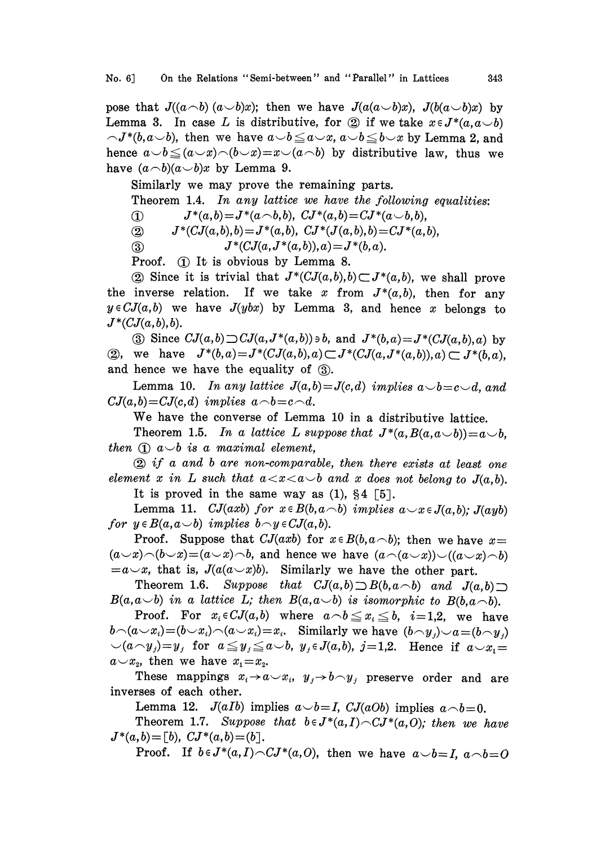pose that  $J((a\neg b)(a\vee b)x)$ ; then we have  $J(a(a\vee b)x)$ ,  $J(b(a\vee b)x)$  by Lemma 3. In case L is distributive, for 2 if we take  $x \in J^*(a, a \cup b)$ <br>  $\neg J^*(b, a \cup b)$ , then we have  $a \cup b \le a \cup x$ ,  $a \cup b \le b \cup x$  by Lemma 2, and  $\nabla J^*(b, a \cup b)$ , then we have  $a \cup b \le a \cup x$ ,  $a \cup b \le b \cup x$  by Lemma 2, and hence  $a \cup b \le (a \cup x) \cap (b \cup x) = x \cup (a \cap b)$  by distributive law, thus we have  $(a \neg b)(a \neg b)x$  by Lemma 9.

Similarly we may prove the remaining parts.

Theorem 1.4. In any lattice we have the following equalities:

 $(1)$   $J^*(a,b)=J^*(a\wedge b,b),\; CJ^*(a,b)=CJ^*(a\wedge b,b),$ 

(2)  $J^*(CJ(a,b),b) = J^*(a,b), \; CJ^*(J(a,b),b) = CJ^*(a,b),$ 

(3)  $J^*(CJ(a,J^*(a,b)),a)=J^*(b,a).$ 

Proof.  $\oplus$  It is obvious by Lemma 8.

(2) Since it is trivial that  $J^*(CJ(a,b),b) \subset J^*(a,b)$ , we shall prove the inverse relation. If we take x from  $J^*(a,b)$ , then for any  $y \in CJ(a,b)$  we have  $J(ybx)$  by Lemma 3, and hence x belongs to  $J^*(CJ(a,b),b).$ 

(3) Since  $CJ(a,b) \supset CJ(a,J^*(a,b))\ni b$ , and  $J^*(b,a)=J^*(CJ(a,b),a)$  by (2), we have  $J^*(b,a) = J^*(CJ(a,b),a) \subset J^*(CJ(a,J^*(a,b)),a) \subset J^*(b,a),$ and hence we have the equality of  $(3)$ .

Lemma 10. In any lattice  $J(a,b) = J(c,d)$  implies  $a \rightarrow b = c \rightarrow d$ , and  $CJ(a,b)=CJ(c,d)$  implies  $a\wedge b=c\wedge d$ .

We have the converse of Lemma <sup>10</sup> in <sup>a</sup> distributive lattice.

Theorem 1.5. In a lattice L suppose that  $J^*(a, B(a, a\smile b)) = a\smile b$ , then  $\Omega$  a $\cup$ b is a maximal element,

 $\circled{2}$  if a and b are non-comparable, then there exists at least one element x in L such that  $a < x < a \rightarrow b$  and x does not belong to  $J(a, b)$ . It is proved in the same way as  $(1)$ ,  $\S 4$  [5].

Lemma 11. CJ(axb) for  $x \in B(b, a\text{ and } b)$  implies  $a \cup x \in J(a, b)$ ; J(ayb) for  $y \in B(a,a \cup b)$  implies  $b \cap y \in CJ(a,b)$ .

Proof. Suppose that  $CJ(axb)$  for  $x \in B(b, a \cap b)$ ; then we have  $x=$  $(a\smile x)\smile(b\smile x)=(a\smile x)\smile b$ , and hence we have  $(a\smile(a\smile x)\smile((a\smile x)\smile b)$  $=a\rightarrow x$ , that is,  $J(a(a\rightarrow x)b)$ . Similarly we have the other part.

Theorem 1.6. Suppose that  $CJ(a,b) \supset B(b,a\cap b)$  and  $J(a,b) \supset$  $B(a,a\smile b)$  in a lattice L; then  $B(a,a\smile b)$  is isomorphic to  $B(b,a\smile b)$ .

Proof. For  $x_i \in CJ(a, b)$  where  $a \wedge b \leq x_i \leq b$ ,  $i=1,2$ , we have  $b\cap(a\smile x_i)=(b\smile x_i)\neg(a\smile x_i)=x_i.$  Similarly we have  $(b\cap y_i)\smile a=(b\cap y_i)$  $\bigcup_{i=1}^n a_i y_j = y_j$  for  $a \leq y_j \leq a \leq b$ ,  $y_j \in J(a,b)$ ,  $j=1,2$ . Hence if  $a \leq x_j = b_j$  $a \sim x_2$ , then we have  $x_1 = x_2$ .

These mappings  $x_i \rightarrow a \rightarrow x_i$ ,  $y_j \rightarrow b \rightarrow y_j$  preserve order and are inverses of each other.

Lemma 12.  $J(aIb)$  implies  $a \smile b = I$ ,  $CJ(aOb)$  implies  $a \rightarrow b = 0$ .

Theorem 1.7. Suppose that  $b \in J^*(a,I) \cap CJ^*(a,O);$  then we have  $J^*(a,b) = [b], CJ^*(a,b) = [b].$ 

Proof. If  $b \in J^*(a,I) \cap CJ^*(a,0)$ , then we have  $a \cup b = I$ ,  $a \cap b = O$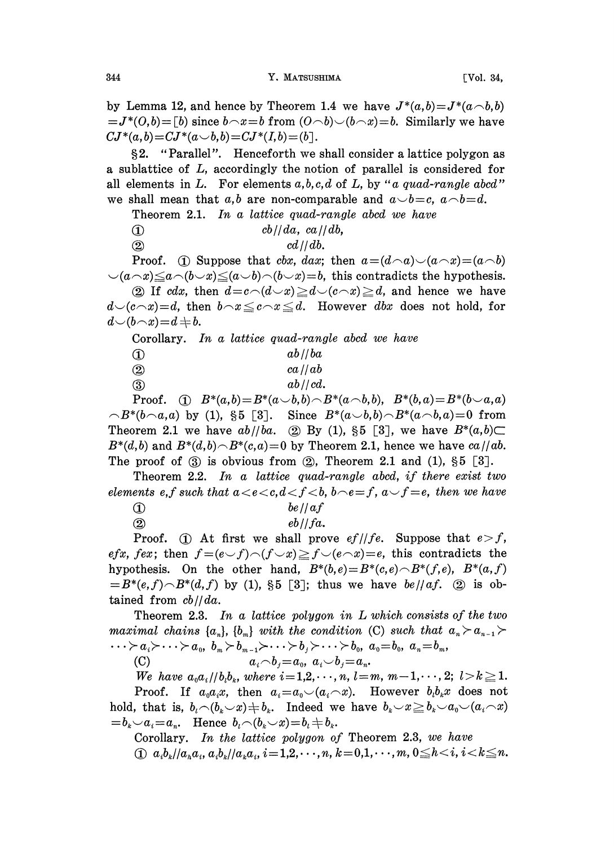by Lemma 12, and hence by Theorem 1.4 we have  $J^*(a,b)=J^*(a\hat{\phantom{a}},b)$  $J^*(O,b) = [b]$  since  $b \wedge x = b$  from  $(O \wedge b) \vee (b \wedge x) = b$ . Similarly we have  $CJ^*(a, b) = CJ^*(a \cup b, b) = CJ^*(I, b) = (b].$ 

2. "Parallel". Henceforth we shall consider <sup>a</sup> lattice polygon as a sublattice of L, accordingly the notion of parallel is considered for all elements in L. For elements  $a, b, c, d$  of L, by "a quad-rangle abcd" we shall mean that a,b are non-comparable and  $a \rightarrow b = c$ ,  $a \rightarrow b = d$ .

Theorem 2.1. In a lattice quad-rangle abcd we have

- $\int$  cb//da, ca//db,
- $\alpha d / d b.$

Proof. (i) Suppose that *cbx*, *dax*; then  $a = (d \cap a) \cup (a \cap x) = (a \cap b)$  $(a\wedge x)\leq a\wedge(b\vee x)\leq (a\vee b)\wedge(b\vee x)=b$ , this contradicts the hypothesis. (2) If cdx, then  $d = c \setminus (d \cup x) \geq d \setminus (c \cap x) \geq d$ , and hence we have  $d(c \wedge x)=d$ , then  $b \wedge x \leq c \wedge x \leq d$ . However dbx does not hold, for

 $d\smile(b\!\smallfrown\! x)\!=\!d\!\Rightarrow b.$ 

Corollary. In a lattice quad-rangle abcd we have

| ab//ba       |
|--------------|
|              |
| $ca$ // $ab$ |
| ab//cd.      |
|              |

Proof. (i)  $B^*(a,b)=B^*(a\smile b,b)\smile B^*(a\smile b,b), B^*(b,a)=B^*(b\smile a,a)$  $\bigcap B^*(b \cap a,a)$  by (1), §5 [3]. Since  $B^*(a \cup b,b) \cap B^*(a \cap b,a) = 0$  from Theorem 2.1 we have  $ab//ba$ . (2) By (1), §5 [3], we have  $B^*(a,b) \subset$  $B^*(d,b)$  and  $B^*(d,b) \cap B^*(c,a) = 0$  by Theorem 2.1, hence we have  $ca//ab$ . The proof of  $(3)$  is obvious from  $(2)$ , Theorem 2.1 and  $(1)$ ,  $\S5$   $[3]$ .

Theorem 2.2. In a lattice quad-rangle abcd, if there exist two elements e,f such that  $a < e < c, d < f < b$ ,  $b \neg e = f$ ,  $a \neg f = e$ , then we have

 $\int$  be // af

 $\omega$  eb//fa.

Proof. (1) At first we shall prove  $ef/(fe.$  Suppose that  $e > f$ , efx, fex; then  $f=(e-f)(f\vee x)\geq f\vee(e\wedge x)=e$ , this contradicts the hypothesis. On the other hand,  $B^*(b,e)=B^*(c,e)\cap B^*(f,e)$ ,  $B^*(a,f)$  $= B^*(e,f) \cap B^*(d,f)$  by (1), §5 [3]; thus we have  $be)/af$ . ② is obtained from  $cb//da$ .

Theorem 2.3. In a lattice polygon in  $L$  which consists of the two maximal chains  $\{a_n\}$ ,  $\{b_m\}$  with the condition (C) such that  $a_n > a_{n-1}$  $\dots \succ a_i \succ \dots \succ a_{\scriptscriptstyle 0}, \,\, b_{\scriptscriptstyle m} \succ b_{\scriptscriptstyle m-1} \succ \dots \succ b_{\scriptscriptstyle j} \succ \dots \succ b_{\scriptscriptstyle 0}, \,\, a_{\scriptscriptstyle 0} \!=\! b_{\scriptscriptstyle 0}, \,\, a_{\scriptscriptstyle n} \!=\! b_{\scriptscriptstyle m},$ 

(C)  $a_i \wedge b_i = a_0, \ a_i \vee b_i = a_n.$ 

We have  $a_0 a_i / (b_i b_k,$  where  $i = 1, 2, \dots, n, l = m, m-1, \dots, 2;$   $l > k \ge 1$ . Proof. If  $a_0a_ix$ , then  $a_i=a_0\smile (a_i\smile x)$ . However  $b_ib_ix$  does not hold, that is,  $b_i \neg (b_k \neg x) \neq b_k$ . Indeed we have  $b_k \neg x \geq b_k \neg a_0 \neg (a_i \neg x)$  $b_k - a_k = a_n$ . Hence  $b_k - (b_k - x) = b_k + b_k$ .

Corollary. In the lattice polygon of Theorem 2.3, we have (i)  $a_ib_k/|a_ka_i, a_ib_k/|a_ka_i, i=1,2,\cdots,n, k=0,1,\cdots,m, 0 \le k < i, i < k \le n$ .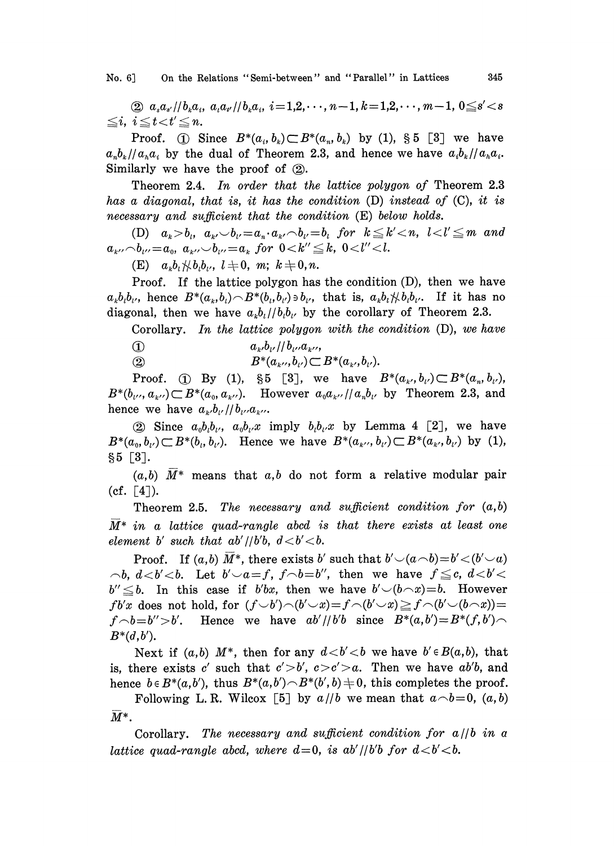No. 6] On the Relations "Semi-between" and "Parallel" in Lattices 345

(2)  $a_s a_{s'}/b_k a_i$ ,  $a_t a_{t'}/b_k a_i$ ,  $i=1,2,\dots, n-1, k=1,2,\dots, m-1, 0 \le s' < s$  $\leq i, i \leq t$   $lt$   $t' \leq n$ .

Proof. (i) Since  $B^*(a_i,b_k) \subset B^*(a_i,b_k)$  by (1), § 5 [3] we have  $a_n b_k / a_n a_i$  by the dual of Theorem 2.3, and hence we have  $a_i b_k / a_n a_i$ . Similarly we have the proof of  $(2)$ .

Theorem 2.4. In order that the lattice polygon of Theorem 2.3 has a diagonal, that is, it has the condition (D) instead of (C), it is  $necessary$  and sufficient that the condition  $(E)$  below holds.

(D)  $a_k > b_i$ ,  $a_{k'} > b_{k'} = a_{n'}a_{k'} \wedge b_{k'} = b_i$  for  $k \leq k' < n$ ,  $l < l' \leq m$  and  $a_{k'} \negthinspace \frown b_{k'} = a_0, a_{k'} \negthinspace \frown b_{k'} = a_k$  for  $0 \leq k'' \leq k, 0 \leq l'' \leq l$ .

(E)  $a_kb_i\#b_ib_i, l \neq 0, m; k \neq 0, n.$ 

Proof. If the lattice polygon has the condition (D), then we have  $a_kb_ib_i$ , hence  $B^*(a_k,b_i) \cap B^*(b_i,b_{i'}) \ni b_{i'}$ , that is,  $a_kb_i \nless b_ib_i$ . If it has no diagonal, then we have  $a_kb_l/|b_ib_{l'}|$  by the corollary of Theorem 2.3.

Corollary. In the lattice polygon with the condition  $(D)$ , we have

(1)  $a_{k}$ , $b_{k'}$  //  $b_{k'}$ , $a_{k''}$ ,

(2)  $B^*(a_{k''}, b_{k'}) \subset B^*(a_{k'}, b_{k'}).$ 

Proof. (i) By (1), §5 [3], we have  $B^*(a_{k'},b_{l'})\subset B^*(a_n,b_{l'})$ ,  $B^*(b_{\nu},a_{\nu}) \subset B^*(a_0, a_{\nu}).$  However  $a_0 a_{\nu}/a_n b_{\nu}$  by Theorem 2.3, and hence we have  $a_{k'}b_{l'}/b_{l'}a_{k''}.$ 

(2) Since  $a_0b_ib_i$ ,  $a_0b_i x$  imply  $b_ib_i x$  by Lemma 4 [2], we have  $B^*(a_0, b_{\nu}) \subset B^*(b_{\nu}, b_{\nu}).$  Hence we have  $B^*(a_{\kappa}, b_{\nu}) \subset B^*(a_{\kappa}, b_{\nu})$  by (1),  $§ 5 [3]$ .

 $(a,b)$  M<sup>\*</sup> means that  $a,b$  do not form a relative modular pair  $(cf. [4]).$ 

Theorem 2.5. The necessary and sufficient condition for  $(a,b)$  $\overline{M}^*$  in a lattice quad-rangle abcd is that there exists at least one element b' such that  $ab'/b'b$ ,  $d < b' < b$ .

Proof. If  $(a,b)$  M<sup>\*</sup>, there exists b' such that  $b'\neg(a\neg b)=b'\neg(b'\neg a)$  $\neg b, d \lt b' \lt b$ . Let  $b' \lt a = f, f \lt b = b''$ , then we have  $f \leq c, d \lt b' \lt b$  $b'' \leq b$ . In this case if b'bx, then we have  $b' \setminus (b \cap x) = b$ . However  $f b'x$  does not hold, for  $(f\smile b')\!\frown\! (b'\smile x)\!=\!f\!\frown\! (b'\smile x)\!\ge\!f\!\frown\! (b'\smile\! (b\!\frown\! x))\!=\!$  $f\Diamond b=b''>b'$ . Hence we have  $ab'/\psi'b$  since  $B^*(a, b')=B^*(f, b')\Diamond$  $B^*(d, b')$ .

Next if  $(a,b)$  M<sup>\*</sup>, then for any  $d < b' < b$  we have  $b' \in B(a,b)$ , that is, there exists c' such that  $c' > b'$ ,  $c > c' > a$ . Then we have ab'b, and hence  $b \in B^*(a,b')$ , thus  $B^*(a,b') \cap B^*(b',b) \neq 0$ , this completes the proof.

Following L.R. Wilcox [5] by  $a/|b$  we mean that  $a \neg b=0$ ,  $(a,b)$  $\overline{M}^*$ .

Corollary. The necessary and sufficient condition for  $a/|b|$  in a lattice quad-rangle abcd, where  $d=0$ , is ab'//b'b for  $d < b' < b$ .